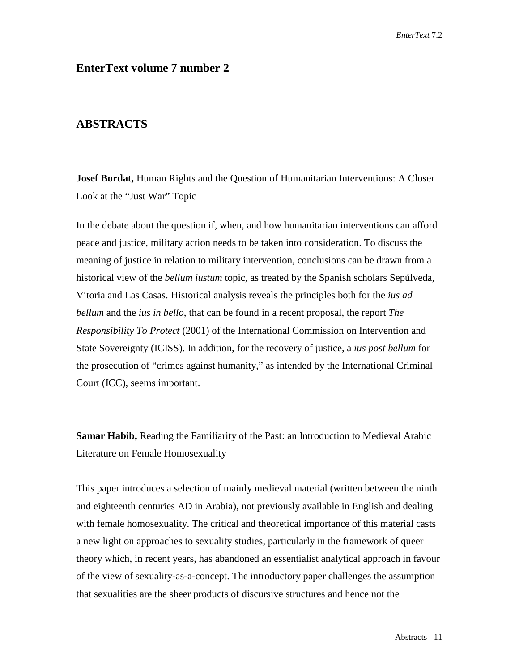## **EnterText volume 7 number 2**

## **ABSTRACTS**

**Josef Bordat,** Human Rights and the Question of Humanitarian Interventions: A Closer Look at the "Just War" Topic

In the debate about the question if, when, and how humanitarian interventions can afford peace and justice, military action needs to be taken into consideration. To discuss the meaning of justice in relation to military intervention, conclusions can be drawn from a historical view of the *bellum iustum* topic, as treated by the Spanish scholars Sepúlveda, Vitoria and Las Casas. Historical analysis reveals the principles both for the *ius ad bellum* and the *ius in bello*, that can be found in a recent proposal, the report *The Responsibility To Protect* (2001) of the International Commission on Intervention and State Sovereignty (ICISS). In addition, for the recovery of justice, a *ius post bellum* for the prosecution of "crimes against humanity," as intended by the International Criminal Court (ICC), seems important.

**Samar Habib,** Reading the Familiarity of the Past: an Introduction to Medieval Arabic Literature on Female Homosexuality

This paper introduces a selection of mainly medieval material (written between the ninth and eighteenth centuries AD in Arabia), not previously available in English and dealing with female homosexuality. The critical and theoretical importance of this material casts a new light on approaches to sexuality studies, particularly in the framework of queer theory which, in recent years, has abandoned an essentialist analytical approach in favour of the view of sexuality-as-a-concept. The introductory paper challenges the assumption that sexualities are the sheer products of discursive structures and hence not the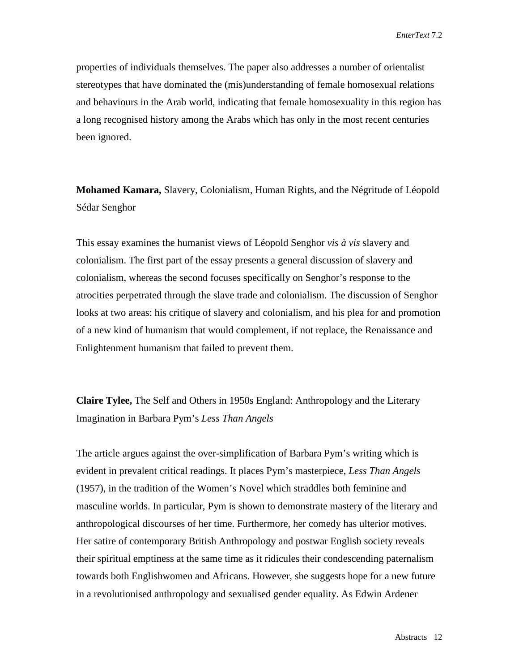properties of individuals themselves. The paper also addresses a number of orientalist stereotypes that have dominated the (mis)understanding of female homosexual relations and behaviours in the Arab world, indicating that female homosexuality in this region has a long recognised history among the Arabs which has only in the most recent centuries been ignored.

**Mohamed Kamara,** Slavery, Colonialism, Human Rights, and the Négritude of Léopold Sédar Senghor

This essay examines the humanist views of Léopold Senghor *vis à vis* slavery and colonialism. The first part of the essay presents a general discussion of slavery and colonialism, whereas the second focuses specifically on Senghor's response to the atrocities perpetrated through the slave trade and colonialism. The discussion of Senghor looks at two areas: his critique of slavery and colonialism, and his plea for and promotion of a new kind of humanism that would complement, if not replace, the Renaissance and Enlightenment humanism that failed to prevent them.

**Claire Tylee,** The Self and Others in 1950s England: Anthropology and the Literary Imagination in Barbara Pym's *Less Than Angels*

The article argues against the over-simplification of Barbara Pym's writing which is evident in prevalent critical readings. It places Pym's masterpiece, *Less Than Angels*  (1957), in the tradition of the Women's Novel which straddles both feminine and masculine worlds. In particular, Pym is shown to demonstrate mastery of the literary and anthropological discourses of her time. Furthermore, her comedy has ulterior motives. Her satire of contemporary British Anthropology and postwar English society reveals their spiritual emptiness at the same time as it ridicules their condescending paternalism towards both Englishwomen and Africans. However, she suggests hope for a new future in a revolutionised anthropology and sexualised gender equality. As Edwin Ardener